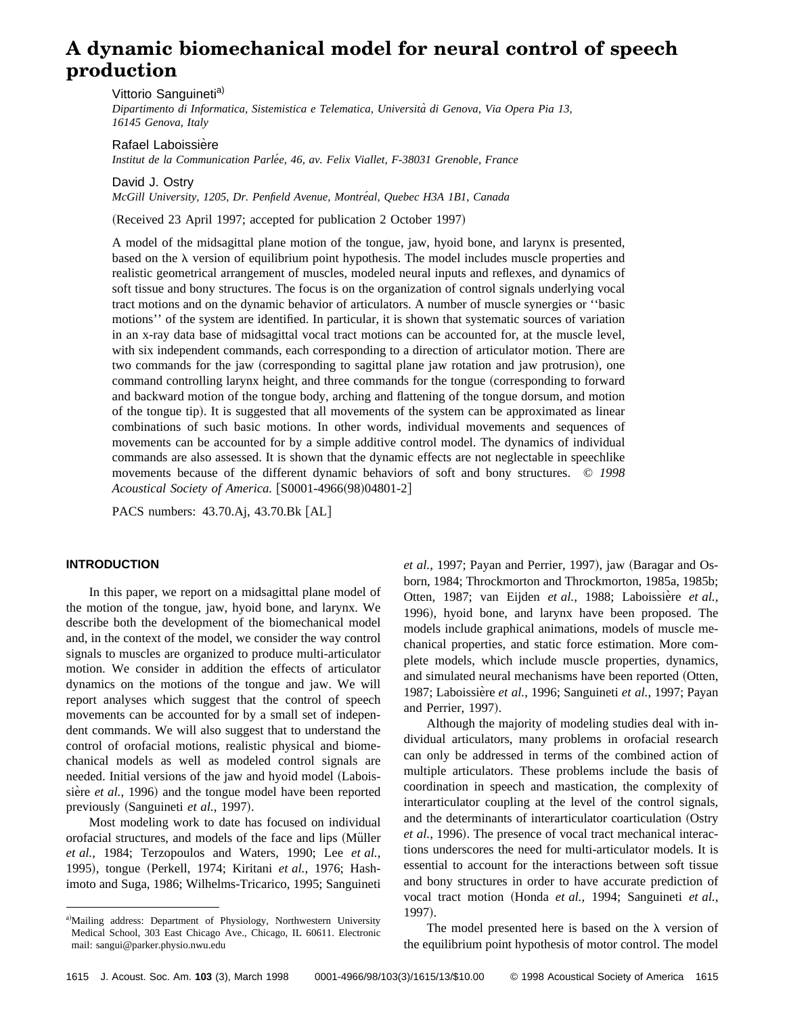# **A dynamic biomechanical model for neural control of speech production**

Vittorio Sanguineti<sup>a)</sup>

*Dipartimento di Informatica, Sistemistica e Telematica, Universita` di Genova, Via Opera Pia 13, 16145 Genova, Italy*

Rafael Laboissière

*Institut de la Communication Parle´e, 46, av. Felix Viallet, F-38031 Grenoble, France*

David J. Ostry

*McGill University, 1205, Dr. Penfield Avenue, Montre´al, Quebec H3A 1B1, Canada*

(Received 23 April 1997; accepted for publication 2 October 1997)

A model of the midsagittal plane motion of the tongue, jaw, hyoid bone, and larynx is presented, based on the  $\lambda$  version of equilibrium point hypothesis. The model includes muscle properties and realistic geometrical arrangement of muscles, modeled neural inputs and reflexes, and dynamics of soft tissue and bony structures. The focus is on the organization of control signals underlying vocal tract motions and on the dynamic behavior of articulators. A number of muscle synergies or ''basic motions'' of the system are identified. In particular, it is shown that systematic sources of variation in an x-ray data base of midsagittal vocal tract motions can be accounted for, at the muscle level, with six independent commands, each corresponding to a direction of articulator motion. There are two commands for the jaw (corresponding to sagittal plane jaw rotation and jaw protrusion), one command controlling larynx height, and three commands for the tongue (corresponding to forward and backward motion of the tongue body, arching and flattening of the tongue dorsum, and motion of the tongue tip). It is suggested that all movements of the system can be approximated as linear combinations of such basic motions. In other words, individual movements and sequences of movements can be accounted for by a simple additive control model. The dynamics of individual commands are also assessed. It is shown that the dynamic effects are not neglectable in speechlike movements because of the different dynamic behaviors of soft and bony structures. © *1998 Acoustical Society of America.* [S0001-4966(98)04801-2]

PACS numbers: 43.70.Aj, 43.70.Bk [AL]

# **INTRODUCTION**

In this paper, we report on a midsagittal plane model of the motion of the tongue, jaw, hyoid bone, and larynx. We describe both the development of the biomechanical model and, in the context of the model, we consider the way control signals to muscles are organized to produce multi-articulator motion. We consider in addition the effects of articulator dynamics on the motions of the tongue and jaw. We will report analyses which suggest that the control of speech movements can be accounted for by a small set of independent commands. We will also suggest that to understand the control of orofacial motions, realistic physical and biomechanical models as well as modeled control signals are needed. Initial versions of the jaw and hyoid model (Laboissière *et al.*, 1996) and the tongue model have been reported previously (Sanguineti et al., 1997).

Most modeling work to date has focused on individual orofacial structures, and models of the face and lips (Müller *et al.*, 1984; Terzopoulos and Waters, 1990; Lee *et al.*, 1995), tongue (Perkell, 1974; Kiritani et al., 1976; Hashimoto and Suga, 1986; Wilhelms-Tricarico, 1995; Sanguineti *et al.*, 1997; Payan and Perrier, 1997), jaw (Baragar and Osborn, 1984; Throckmorton and Throckmorton, 1985a, 1985b; Otten, 1987; van Eijden et al., 1988; Laboissière et al., 1996), hyoid bone, and larynx have been proposed. The models include graphical animations, models of muscle mechanical properties, and static force estimation. More complete models, which include muscle properties, dynamics, and simulated neural mechanisms have been reported (Otten, 1987; Laboissière et al., 1996; Sanguineti et al., 1997; Payan and Perrier, 1997).

Although the majority of modeling studies deal with individual articulators, many problems in orofacial research can only be addressed in terms of the combined action of multiple articulators. These problems include the basis of coordination in speech and mastication, the complexity of interarticulator coupling at the level of the control signals, and the determinants of interarticulator coarticulation (Ostry *et al.*, 1996). The presence of vocal tract mechanical interactions underscores the need for multi-articulator models. It is essential to account for the interactions between soft tissue and bony structures in order to have accurate prediction of vocal tract motion (Honda *et al.*, 1994; Sanguineti *et al.*, 1997).

The model presented here is based on the  $\lambda$  version of the equilibrium point hypothesis of motor control. The model

a)Mailing address: Department of Physiology, Northwestern University Medical School, 303 East Chicago Ave., Chicago, IL 60611. Electronic mail: sangui@parker.physio.nwu.edu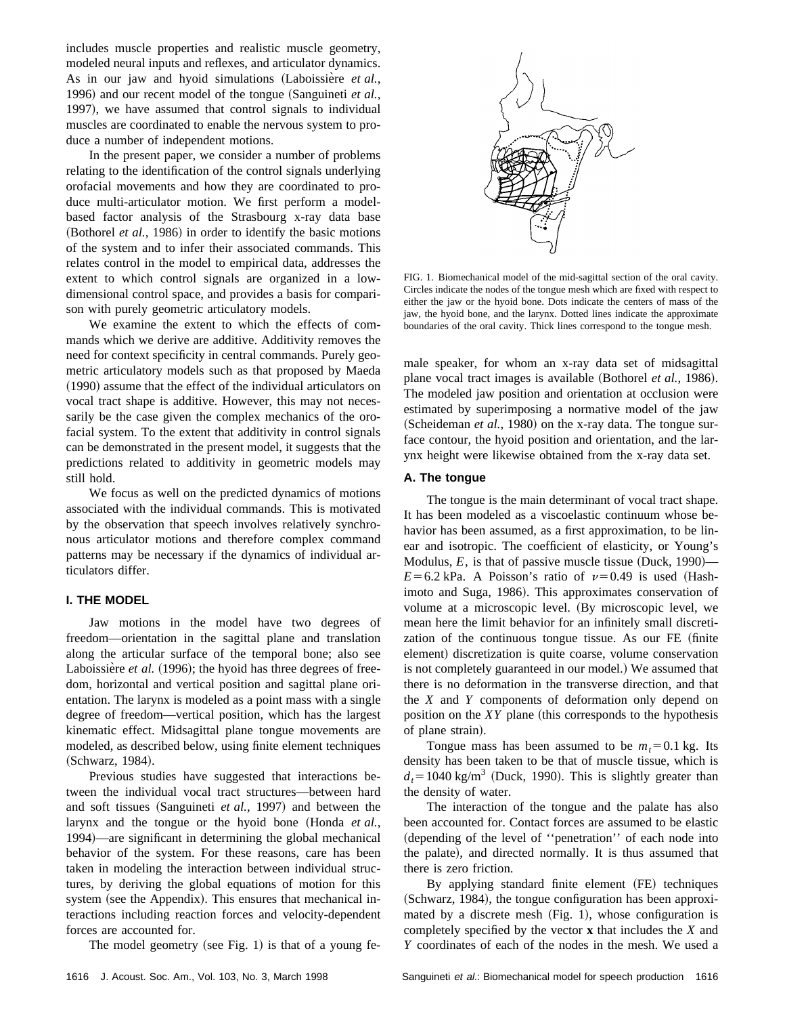includes muscle properties and realistic muscle geometry, modeled neural inputs and reflexes, and articulator dynamics. As in our jaw and hyoid simulations (Laboissiere *et al.*, 1996) and our recent model of the tongue (Sanguineti *et al.*, 1997), we have assumed that control signals to individual muscles are coordinated to enable the nervous system to produce a number of independent motions.

In the present paper, we consider a number of problems relating to the identification of the control signals underlying orofacial movements and how they are coordinated to produce multi-articulator motion. We first perform a modelbased factor analysis of the Strasbourg x-ray data base (Bothorel *et al.*, 1986) in order to identify the basic motions of the system and to infer their associated commands. This relates control in the model to empirical data, addresses the extent to which control signals are organized in a lowdimensional control space, and provides a basis for comparison with purely geometric articulatory models.

We examine the extent to which the effects of commands which we derive are additive. Additivity removes the need for context specificity in central commands. Purely geometric articulatory models such as that proposed by Maeda  $(1990)$  assume that the effect of the individual articulators on vocal tract shape is additive. However, this may not necessarily be the case given the complex mechanics of the orofacial system. To the extent that additivity in control signals can be demonstrated in the present model, it suggests that the predictions related to additivity in geometric models may still hold.

We focus as well on the predicted dynamics of motions associated with the individual commands. This is motivated by the observation that speech involves relatively synchronous articulator motions and therefore complex command patterns may be necessary if the dynamics of individual articulators differ.

# **I. THE MODEL**

Jaw motions in the model have two degrees of freedom—orientation in the sagittal plane and translation along the articular surface of the temporal bone; also see Laboissiere *et al.* (1996); the hyoid has three degrees of freedom, horizontal and vertical position and sagittal plane orientation. The larynx is modeled as a point mass with a single degree of freedom—vertical position, which has the largest kinematic effect. Midsagittal plane tongue movements are modeled, as described below, using finite element techniques (Schwarz, 1984).

Previous studies have suggested that interactions between the individual vocal tract structures—between hard and soft tissues (Sanguineti *et al.*, 1997) and between the larynx and the tongue or the hyoid bone (Honda *et al.*, 1994)—are significant in determining the global mechanical behavior of the system. For these reasons, care has been taken in modeling the interaction between individual structures, by deriving the global equations of motion for this system (see the Appendix). This ensures that mechanical interactions including reaction forces and velocity-dependent forces are accounted for.

The model geometry (see Fig. 1) is that of a young fe-



FIG. 1. Biomechanical model of the mid-sagittal section of the oral cavity. Circles indicate the nodes of the tongue mesh which are fixed with respect to either the jaw or the hyoid bone. Dots indicate the centers of mass of the jaw, the hyoid bone, and the larynx. Dotted lines indicate the approximate boundaries of the oral cavity. Thick lines correspond to the tongue mesh.

male speaker, for whom an x-ray data set of midsagittal plane vocal tract images is available (Bothorel *et al.*, 1986). The modeled jaw position and orientation at occlusion were estimated by superimposing a normative model of the jaw (Scheideman *et al.*, 1980) on the x-ray data. The tongue surface contour, the hyoid position and orientation, and the larynx height were likewise obtained from the x-ray data set.

### **A. The tongue**

The tongue is the main determinant of vocal tract shape. It has been modeled as a viscoelastic continuum whose behavior has been assumed, as a first approximation, to be linear and isotropic. The coefficient of elasticity, or Young's Modulus,  $E$ , is that of passive muscle tissue (Duck, 1990)—  $E=6.2$  kPa. A Poisson's ratio of  $v=0.49$  is used (Hashimoto and Suga, 1986). This approximates conservation of volume at a microscopic level. (By microscopic level, we mean here the limit behavior for an infinitely small discretization of the continuous tongue tissue. As our FE (finite element) discretization is quite coarse, volume conservation is not completely guaranteed in our model.) We assumed that there is no deformation in the transverse direction, and that the *X* and *Y* components of deformation only depend on position on the  $XY$  plane (this corresponds to the hypothesis of plane strain).

Tongue mass has been assumed to be  $m_t=0.1$  kg. Its density has been taken to be that of muscle tissue, which is  $d_t$ =1040 kg/m<sup>3</sup> (Duck, 1990). This is slightly greater than the density of water.

The interaction of the tongue and the palate has also been accounted for. Contact forces are assumed to be elastic (depending of the level of "penetration" of each node into the palate), and directed normally. It is thus assumed that there is zero friction.

By applying standard finite element (FE) techniques  $(Schwarz, 1984)$ , the tongue configuration has been approximated by a discrete mesh  $(Fig. 1)$ , whose configuration is completely specified by the vector **x** that includes the *X* and *Y* coordinates of each of the nodes in the mesh. We used a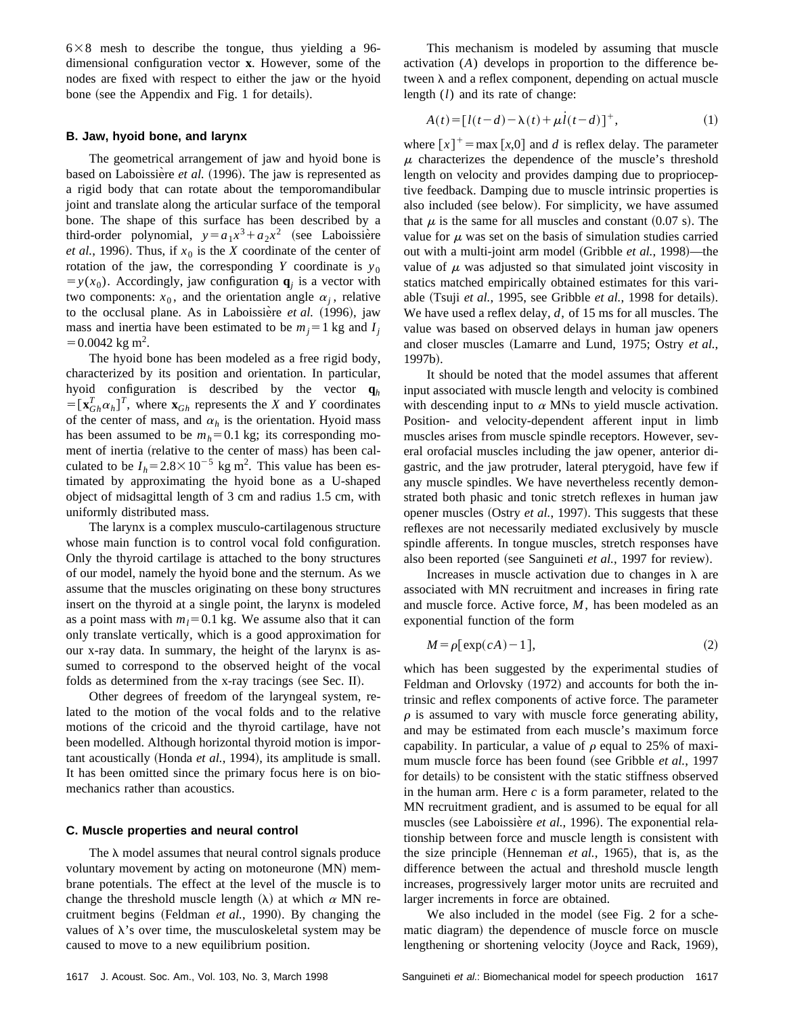$6\times8$  mesh to describe the tongue, thus yielding a 96dimensional configuration vector **x**. However, some of the nodes are fixed with respect to either the jaw or the hyoid bone (see the Appendix and Fig. 1 for details).

## **B. Jaw, hyoid bone, and larynx**

The geometrical arrangement of jaw and hyoid bone is based on Laboissiere *et al.* (1996). The jaw is represented as a rigid body that can rotate about the temporomandibular joint and translate along the articular surface of the temporal bone. The shape of this surface has been described by a third-order polynomial,  $y=a_1x^3+a_2x^2$  (see Laboissiere *et al.*, 1996). Thus, if  $x_0$  is the *X* coordinate of the center of rotation of the jaw, the corresponding *Y* coordinate is  $y_0$  $= y(x_0)$ . Accordingly, jaw configuration  $\mathbf{q}_i$  is a vector with two components:  $x_0$ , and the orientation angle  $\alpha_i$ , relative to the occlusal plane. As in Laboissiere *et al.* (1996), jaw mass and inertia have been estimated to be  $m<sub>i</sub>=1$  kg and  $I<sub>i</sub>$  $= 0.0042$  kg m<sup>2</sup>.

The hyoid bone has been modeled as a free rigid body, characterized by its position and orientation. In particular, hyoid configuration is described by the vector **q***<sup>h</sup>*  $=[\mathbf{x}_{Gh}^T \alpha_h]^T$ , where  $\mathbf{x}_{Gh}$  represents the *X* and *Y* coordinates of the center of mass, and  $\alpha_h$  is the orientation. Hyoid mass has been assumed to be  $m_h$ =0.1 kg; its corresponding moment of inertia (relative to the center of mass) has been calculated to be  $I_h = 2.8 \times 10^{-5}$  kg m<sup>2</sup>. This value has been estimated by approximating the hyoid bone as a U-shaped object of midsagittal length of 3 cm and radius 1.5 cm, with uniformly distributed mass.

The larynx is a complex musculo-cartilagenous structure whose main function is to control vocal fold configuration. Only the thyroid cartilage is attached to the bony structures of our model, namely the hyoid bone and the sternum. As we assume that the muscles originating on these bony structures insert on the thyroid at a single point, the larynx is modeled as a point mass with  $m_l$ =0.1 kg. We assume also that it can only translate vertically, which is a good approximation for our x-ray data. In summary, the height of the larynx is assumed to correspond to the observed height of the vocal folds as determined from the x-ray tracings (see Sec. II).

Other degrees of freedom of the laryngeal system, related to the motion of the vocal folds and to the relative motions of the cricoid and the thyroid cartilage, have not been modelled. Although horizontal thyroid motion is important acoustically (Honda *et al.*, 1994), its amplitude is small. It has been omitted since the primary focus here is on biomechanics rather than acoustics.

## **C. Muscle properties and neural control**

The  $\lambda$  model assumes that neural control signals produce voluntary movement by acting on motoneurone  $(MN)$  membrane potentials. The effect at the level of the muscle is to change the threshold muscle length  $(\lambda)$  at which  $\alpha$  MN recruitment begins (Feldman *et al.*, 1990). By changing the values of  $\lambda$ 's over time, the musculoskeletal system may be caused to move to a new equilibrium position.

This mechanism is modeled by assuming that muscle activation (*A*) develops in proportion to the difference between  $\lambda$  and a reflex component, depending on actual muscle length (*l*) and its rate of change:

$$
A(t) = [l(t-d) - \lambda(t) + \mu \dot{l}(t-d)]^{+}, \qquad (1)
$$

where  $[x]^+$  = max  $[x,0]$  and *d* is reflex delay. The parameter  $\mu$  characterizes the dependence of the muscle's threshold length on velocity and provides damping due to proprioceptive feedback. Damping due to muscle intrinsic properties is also included (see below). For simplicity, we have assumed that  $\mu$  is the same for all muscles and constant  $(0.07 \text{ s})$ . The value for  $\mu$  was set on the basis of simulation studies carried out with a multi-joint arm model (Gribble *et al.*, 1998)—the value of  $\mu$  was adjusted so that simulated joint viscosity in statics matched empirically obtained estimates for this variable (Tsuji *et al.*, 1995, see Gribble *et al.*, 1998 for details). We have used a reflex delay, *d*, of 15 ms for all muscles. The value was based on observed delays in human jaw openers and closer muscles (Lamarre and Lund, 1975; Ostry *et al.*, 1997b).

It should be noted that the model assumes that afferent input associated with muscle length and velocity is combined with descending input to  $\alpha$  MNs to yield muscle activation. Position- and velocity-dependent afferent input in limb muscles arises from muscle spindle receptors. However, several orofacial muscles including the jaw opener, anterior digastric, and the jaw protruder, lateral pterygoid, have few if any muscle spindles. We have nevertheless recently demonstrated both phasic and tonic stretch reflexes in human jaw opener muscles (Ostry *et al.*, 1997). This suggests that these reflexes are not necessarily mediated exclusively by muscle spindle afferents. In tongue muscles, stretch responses have also been reported (see Sanguineti *et al.*, 1997 for review).

Increases in muscle activation due to changes in  $\lambda$  are associated with MN recruitment and increases in firing rate and muscle force. Active force, *M*, has been modeled as an exponential function of the form

$$
M = \rho \left[ \exp(cA) - 1 \right],\tag{2}
$$

which has been suggested by the experimental studies of Feldman and Orlovsky  $(1972)$  and accounts for both the intrinsic and reflex components of active force. The parameter  $\rho$  is assumed to vary with muscle force generating ability, and may be estimated from each muscle's maximum force capability. In particular, a value of  $\rho$  equal to 25% of maximum muscle force has been found (see Gribble *et al.*, 1997 for details) to be consistent with the static stiffness observed in the human arm. Here *c* is a form parameter, related to the MN recruitment gradient, and is assumed to be equal for all muscles (see Laboissiere *et al.*, 1996). The exponential relationship between force and muscle length is consistent with the size principle (Henneman *et al.*, 1965), that is, as the difference between the actual and threshold muscle length increases, progressively larger motor units are recruited and larger increments in force are obtained.

We also included in the model (see Fig. 2 for a schematic diagram) the dependence of muscle force on muscle lengthening or shortening velocity (Joyce and Rack, 1969),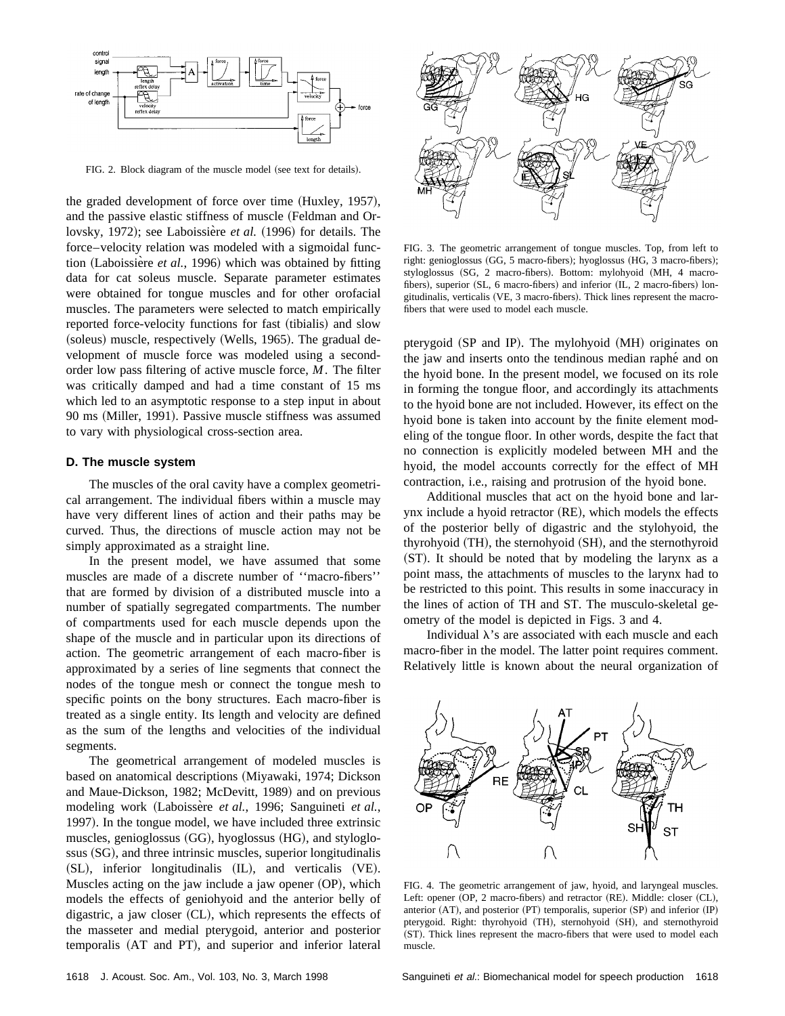

FIG. 2. Block diagram of the muscle model (see text for details).

the graded development of force over time (Huxley, 1957), and the passive elastic stiffness of muscle (Feldman and Orlovsky, 1972); see Laboissière *et al.* (1996) for details. The force–velocity relation was modeled with a sigmoidal function (Laboissière *et al.*, 1996) which was obtained by fitting data for cat soleus muscle. Separate parameter estimates were obtained for tongue muscles and for other orofacial muscles. The parameters were selected to match empirically reported force-velocity functions for fast (tibialis) and slow (soleus) muscle, respectively (Wells, 1965). The gradual development of muscle force was modeled using a secondorder low pass filtering of active muscle force, *M*. The filter was critically damped and had a time constant of 15 ms which led to an asymptotic response to a step input in about 90 ms (Miller, 1991). Passive muscle stiffness was assumed to vary with physiological cross-section area.

#### **D. The muscle system**

The muscles of the oral cavity have a complex geometrical arrangement. The individual fibers within a muscle may have very different lines of action and their paths may be curved. Thus, the directions of muscle action may not be simply approximated as a straight line.

In the present model, we have assumed that some muscles are made of a discrete number of ''macro-fibers'' that are formed by division of a distributed muscle into a number of spatially segregated compartments. The number of compartments used for each muscle depends upon the shape of the muscle and in particular upon its directions of action. The geometric arrangement of each macro-fiber is approximated by a series of line segments that connect the nodes of the tongue mesh or connect the tongue mesh to specific points on the bony structures. Each macro-fiber is treated as a single entity. Its length and velocity are defined as the sum of the lengths and velocities of the individual segments.

The geometrical arrangement of modeled muscles is based on anatomical descriptions (Miyawaki, 1974; Dickson and Maue-Dickson, 1982; McDevitt, 1989) and on previous modeling work (Laboissère et al., 1996; Sanguineti et al., 1997). In the tongue model, we have included three extrinsic muscles, genioglossus (GG), hyoglossus (HG), and styloglossus (SG), and three intrinsic muscles, superior longitudinalis (SL), inferior longitudinalis (IL), and verticalis (VE). Muscles acting on the jaw include a jaw opener  $(OP)$ , which models the effects of geniohyoid and the anterior belly of digastric, a jaw closer  $(CL)$ , which represents the effects of the masseter and medial pterygoid, anterior and posterior temporalis (AT and PT), and superior and inferior lateral



FIG. 3. The geometric arrangement of tongue muscles. Top, from left to right: genioglossus (GG, 5 macro-fibers); hyoglossus (HG, 3 macro-fibers); styloglossus (SG, 2 macro-fibers). Bottom: mylohyoid (MH, 4 macrofibers), superior  $(SL, 6$  macro-fibers) and inferior  $(IL, 2$  macro-fibers) longitudinalis, verticalis (VE, 3 macro-fibers). Thick lines represent the macrofibers that were used to model each muscle.

pterygoid (SP and IP). The mylohyoid (MH) originates on the jaw and inserts onto the tendinous median raphe´ and on the hyoid bone. In the present model, we focused on its role in forming the tongue floor, and accordingly its attachments to the hyoid bone are not included. However, its effect on the hyoid bone is taken into account by the finite element modeling of the tongue floor. In other words, despite the fact that no connection is explicitly modeled between MH and the hyoid, the model accounts correctly for the effect of MH contraction, i.e., raising and protrusion of the hyoid bone.

Additional muscles that act on the hyoid bone and larynx include a hyoid retractor (RE), which models the effects of the posterior belly of digastric and the stylohyoid, the thyrohyoid (TH), the sternohyoid (SH), and the sternothyroid (ST). It should be noted that by modeling the larynx as a point mass, the attachments of muscles to the larynx had to be restricted to this point. This results in some inaccuracy in the lines of action of TH and ST. The musculo-skeletal geometry of the model is depicted in Figs. 3 and 4.

Individual  $\lambda$ 's are associated with each muscle and each macro-fiber in the model. The latter point requires comment. Relatively little is known about the neural organization of



FIG. 4. The geometric arrangement of jaw, hyoid, and laryngeal muscles. Left: opener (OP, 2 macro-fibers) and retractor (RE). Middle: closer (CL), anterior  $(AT)$ , and posterior  $(PT)$  temporalis, superior  $(SP)$  and inferior  $(IP)$ pterygoid. Right: thyrohyoid (TH), sternohyoid (SH), and sternothyroid (ST). Thick lines represent the macro-fibers that were used to model each muscle.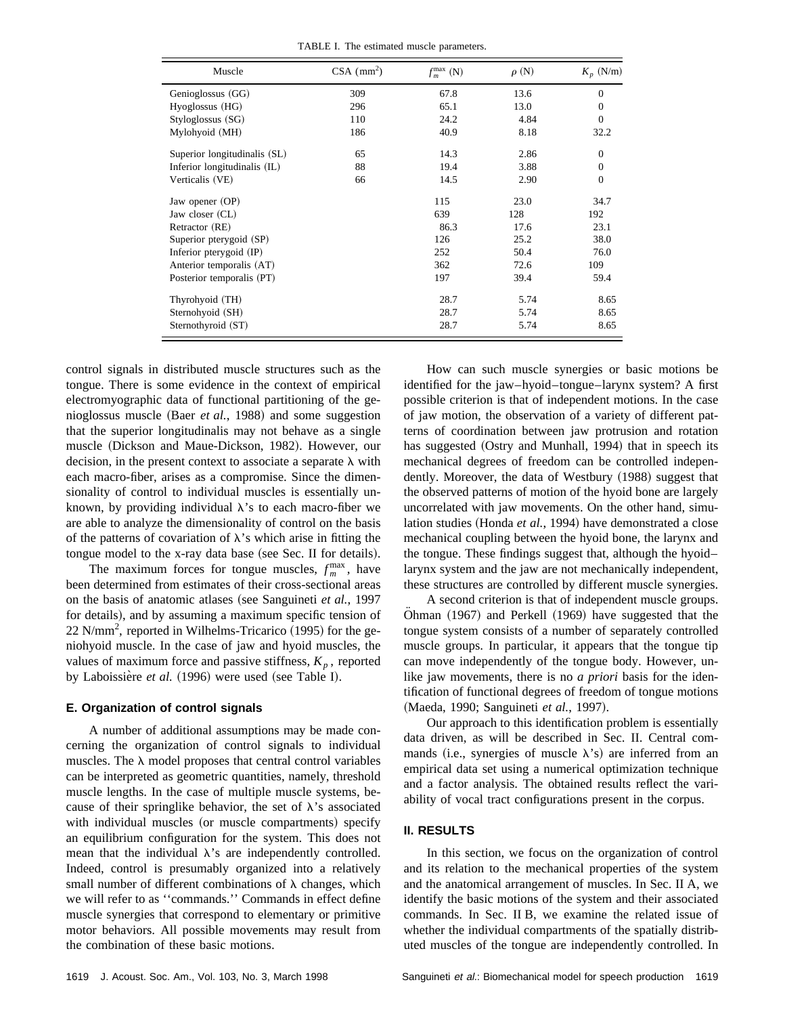TABLE I. The estimated muscle parameters.

| Muscle                       | CSA (mm <sup>2</sup> ) | $f_m^{\max}$ (N) | $\rho(N)$ | $K_p$ (N/m)  |
|------------------------------|------------------------|------------------|-----------|--------------|
| Genioglossus (GG)            | 309                    | 67.8             | 13.6      | $\Omega$     |
| Hyoglossus (HG)              | 296                    | 65.1             | 13.0      | $\mathbf{0}$ |
| Styloglossus (SG)            | 110                    | 24.2             | 4.84      | $\Omega$     |
| Mylohyoid (MH)               | 186                    | 40.9             | 8.18      | 32.2         |
| Superior longitudinalis (SL) | 65                     | 14.3             | 2.86      | $\theta$     |
| Inferior longitudinalis (IL) | 88                     | 19.4             | 3.88      | $\mathbf{0}$ |
| Verticalis (VE)              | 66                     | 14.5             | 2.90      | $\theta$     |
| Jaw opener $(OP)$            |                        | 115              | 23.0      | 34.7         |
| Jaw closer (CL)              |                        | 639              | 128       | 192          |
| Retractor (RE)               |                        | 86.3             | 17.6      | 23.1         |
| Superior pterygoid (SP)      |                        | 126              | 25.2      | 38.0         |
| Inferior pterygoid (IP)      |                        | 252              | 50.4      | 76.0         |
| Anterior temporalis (AT)     |                        | 362              | 72.6      | 109          |
| Posterior temporalis (PT)    |                        | 197              | 39.4      | 59.4         |
| Thyrohyoid (TH)              |                        | 28.7             | 5.74      | 8.65         |
| Sternohyoid (SH)             |                        | 28.7             | 5.74      | 8.65         |
| Sternothyroid (ST)           |                        | 28.7             | 5.74      | 8.65         |

control signals in distributed muscle structures such as the tongue. There is some evidence in the context of empirical electromyographic data of functional partitioning of the genioglossus muscle (Baer *et al.*, 1988) and some suggestion that the superior longitudinalis may not behave as a single muscle (Dickson and Maue-Dickson, 1982). However, our decision, in the present context to associate a separate  $\lambda$  with each macro-fiber, arises as a compromise. Since the dimensionality of control to individual muscles is essentially unknown, by providing individual  $\lambda$ 's to each macro-fiber we are able to analyze the dimensionality of control on the basis of the patterns of covariation of  $\lambda$ 's which arise in fitting the tongue model to the x-ray data base (see Sec. II for details).

The maximum forces for tongue muscles,  $f_m^{\text{max}}$ , have been determined from estimates of their cross-sectional areas on the basis of anatomic atlases (see Sanguineti *et al.*, 1997 for details), and by assuming a maximum specific tension of  $22$  N/mm<sup>2</sup>, reported in Wilhelms-Tricarico (1995) for the geniohyoid muscle. In the case of jaw and hyoid muscles, the values of maximum force and passive stiffness,  $K_p$ , reported by Laboissière et al. (1996) were used (see Table I).

## **E. Organization of control signals**

A number of additional assumptions may be made concerning the organization of control signals to individual muscles. The  $\lambda$  model proposes that central control variables can be interpreted as geometric quantities, namely, threshold muscle lengths. In the case of multiple muscle systems, because of their springlike behavior, the set of  $\lambda$ 's associated with individual muscles (or muscle compartments) specify an equilibrium configuration for the system. This does not mean that the individual  $\lambda$ 's are independently controlled. Indeed, control is presumably organized into a relatively small number of different combinations of  $\lambda$  changes, which we will refer to as ''commands.'' Commands in effect define muscle synergies that correspond to elementary or primitive motor behaviors. All possible movements may result from the combination of these basic motions.

How can such muscle synergies or basic motions be identified for the jaw–hyoid–tongue–larynx system? A first possible criterion is that of independent motions. In the case of jaw motion, the observation of a variety of different patterns of coordination between jaw protrusion and rotation has suggested (Ostry and Munhall, 1994) that in speech its mechanical degrees of freedom can be controlled independently. Moreover, the data of Westbury (1988) suggest that the observed patterns of motion of the hyoid bone are largely uncorrelated with jaw movements. On the other hand, simulation studies (Honda et al., 1994) have demonstrated a close mechanical coupling between the hyoid bone, the larynx and the tongue. These findings suggest that, although the hyoid– larynx system and the jaw are not mechanically independent, these structures are controlled by different muscle synergies.

A second criterion is that of independent muscle groups. Ohman (1967) and Perkell (1969) have suggested that the tongue system consists of a number of separately controlled muscle groups. In particular, it appears that the tongue tip can move independently of the tongue body. However, unlike jaw movements, there is no *a priori* basis for the identification of functional degrees of freedom of tongue motions (Maeda, 1990; Sanguineti *et al.*, 1997).

Our approach to this identification problem is essentially data driven, as will be described in Sec. II. Central commands (i.e., synergies of muscle  $\lambda$ 's) are inferred from an empirical data set using a numerical optimization technique and a factor analysis. The obtained results reflect the variability of vocal tract configurations present in the corpus.

# **II. RESULTS**

In this section, we focus on the organization of control and its relation to the mechanical properties of the system and the anatomical arrangement of muscles. In Sec. II A, we identify the basic motions of the system and their associated commands. In Sec. II B, we examine the related issue of whether the individual compartments of the spatially distributed muscles of the tongue are independently controlled. In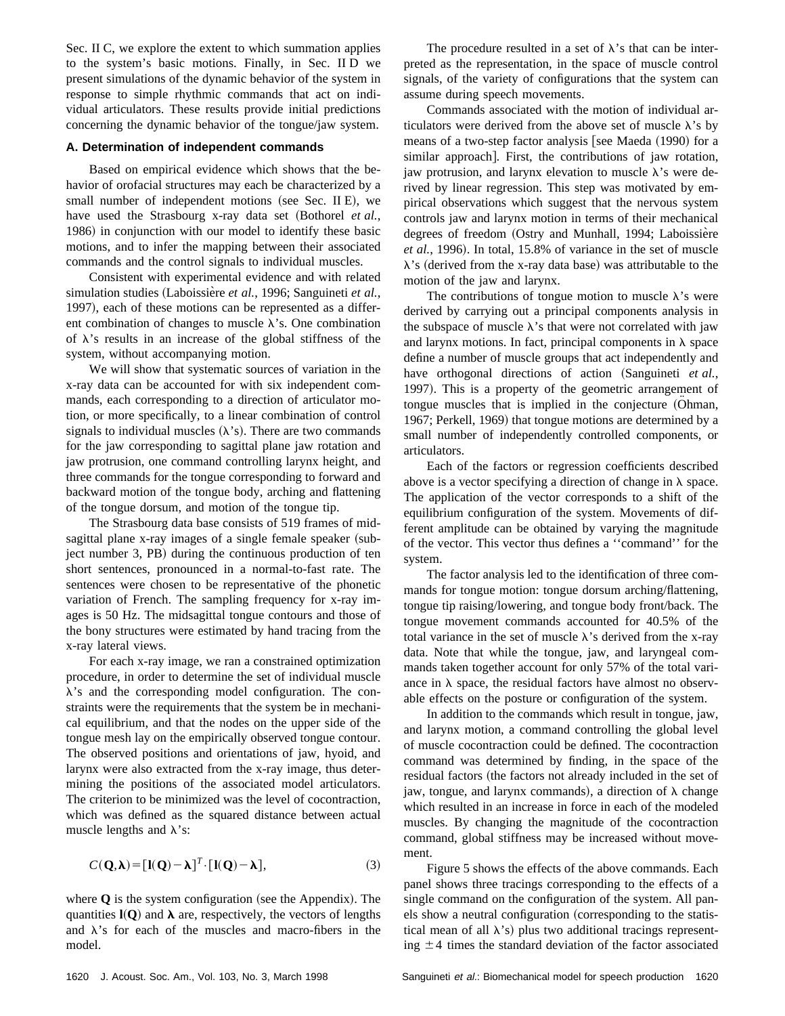Sec. II C, we explore the extent to which summation applies to the system's basic motions. Finally, in Sec. II D we present simulations of the dynamic behavior of the system in response to simple rhythmic commands that act on individual articulators. These results provide initial predictions concerning the dynamic behavior of the tongue/jaw system.

# **A. Determination of independent commands**

Based on empirical evidence which shows that the behavior of orofacial structures may each be characterized by a small number of independent motions (see Sec. II E), we have used the Strasbourg x-ray data set (Bothorel *et al.*, 1986) in conjunction with our model to identify these basic motions, and to infer the mapping between their associated commands and the control signals to individual muscles.

Consistent with experimental evidence and with related simulation studies (Laboissière *et al.*, 1996; Sanguineti *et al.*, 1997), each of these motions can be represented as a different combination of changes to muscle  $\lambda$ 's. One combination of  $\lambda$ 's results in an increase of the global stiffness of the system, without accompanying motion.

We will show that systematic sources of variation in the x-ray data can be accounted for with six independent commands, each corresponding to a direction of articulator motion, or more specifically, to a linear combination of control signals to individual muscles  $(\lambda's)$ . There are two commands for the jaw corresponding to sagittal plane jaw rotation and jaw protrusion, one command controlling larynx height, and three commands for the tongue corresponding to forward and backward motion of the tongue body, arching and flattening of the tongue dorsum, and motion of the tongue tip.

The Strasbourg data base consists of 519 frames of midsagittal plane x-ray images of a single female speaker (subject number 3, PB) during the continuous production of ten short sentences, pronounced in a normal-to-fast rate. The sentences were chosen to be representative of the phonetic variation of French. The sampling frequency for x-ray images is 50 Hz. The midsagittal tongue contours and those of the bony structures were estimated by hand tracing from the x-ray lateral views.

For each x-ray image, we ran a constrained optimization procedure, in order to determine the set of individual muscle  $\lambda$ 's and the corresponding model configuration. The constraints were the requirements that the system be in mechanical equilibrium, and that the nodes on the upper side of the tongue mesh lay on the empirically observed tongue contour. The observed positions and orientations of jaw, hyoid, and larynx were also extracted from the x-ray image, thus determining the positions of the associated model articulators. The criterion to be minimized was the level of cocontraction, which was defined as the squared distance between actual muscle lengths and  $\lambda$ 's:

$$
C(\mathbf{Q}, \lambda) = [\mathbf{I}(\mathbf{Q}) - \lambda]^T \cdot [\mathbf{I}(\mathbf{Q}) - \lambda],
$$
\n(3)

where  $Q$  is the system configuration (see the Appendix). The quantities  $I(Q)$  and  $\lambda$  are, respectively, the vectors of lengths and  $\lambda$ 's for each of the muscles and macro-fibers in the model.

The procedure resulted in a set of  $\lambda$ 's that can be interpreted as the representation, in the space of muscle control signals, of the variety of configurations that the system can assume during speech movements.

Commands associated with the motion of individual articulators were derived from the above set of muscle  $\lambda$ 's by means of a two-step factor analysis [see Maeda  $(1990)$  for a similar approach]. First, the contributions of jaw rotation, jaw protrusion, and larynx elevation to muscle  $\lambda$ 's were derived by linear regression. This step was motivated by empirical observations which suggest that the nervous system controls jaw and larynx motion in terms of their mechanical degrees of freedom (Ostry and Munhall, 1994; Laboissière *et al.*, 1996). In total, 15.8% of variance in the set of muscle  $\lambda$ 's (derived from the x-ray data base) was attributable to the motion of the jaw and larynx.

The contributions of tongue motion to muscle  $\lambda$ 's were derived by carrying out a principal components analysis in the subspace of muscle  $\lambda$ 's that were not correlated with jaw and larynx motions. In fact, principal components in  $\lambda$  space define a number of muscle groups that act independently and have orthogonal directions of action (Sanguineti et al., 1997). This is a property of the geometric arrangement of tongue muscles that is implied in the conjecture (Ohman, 1967; Perkell, 1969) that tongue motions are determined by a small number of independently controlled components, or articulators.

Each of the factors or regression coefficients described above is a vector specifying a direction of change in  $\lambda$  space. The application of the vector corresponds to a shift of the equilibrium configuration of the system. Movements of different amplitude can be obtained by varying the magnitude of the vector. This vector thus defines a ''command'' for the system.

The factor analysis led to the identification of three commands for tongue motion: tongue dorsum arching/flattening, tongue tip raising/lowering, and tongue body front/back. The tongue movement commands accounted for 40.5% of the total variance in the set of muscle  $\lambda$ 's derived from the x-ray data. Note that while the tongue, jaw, and laryngeal commands taken together account for only 57% of the total variance in  $\lambda$  space, the residual factors have almost no observable effects on the posture or configuration of the system.

In addition to the commands which result in tongue, jaw, and larynx motion, a command controlling the global level of muscle cocontraction could be defined. The cocontraction command was determined by finding, in the space of the residual factors (the factors not already included in the set of jaw, tongue, and larynx commands), a direction of  $\lambda$  change which resulted in an increase in force in each of the modeled muscles. By changing the magnitude of the cocontraction command, global stiffness may be increased without movement.

Figure 5 shows the effects of the above commands. Each panel shows three tracings corresponding to the effects of a single command on the configuration of the system. All panels show a neutral configuration (corresponding to the statistical mean of all  $\lambda$ 's) plus two additional tracings representing  $\pm 4$  times the standard deviation of the factor associated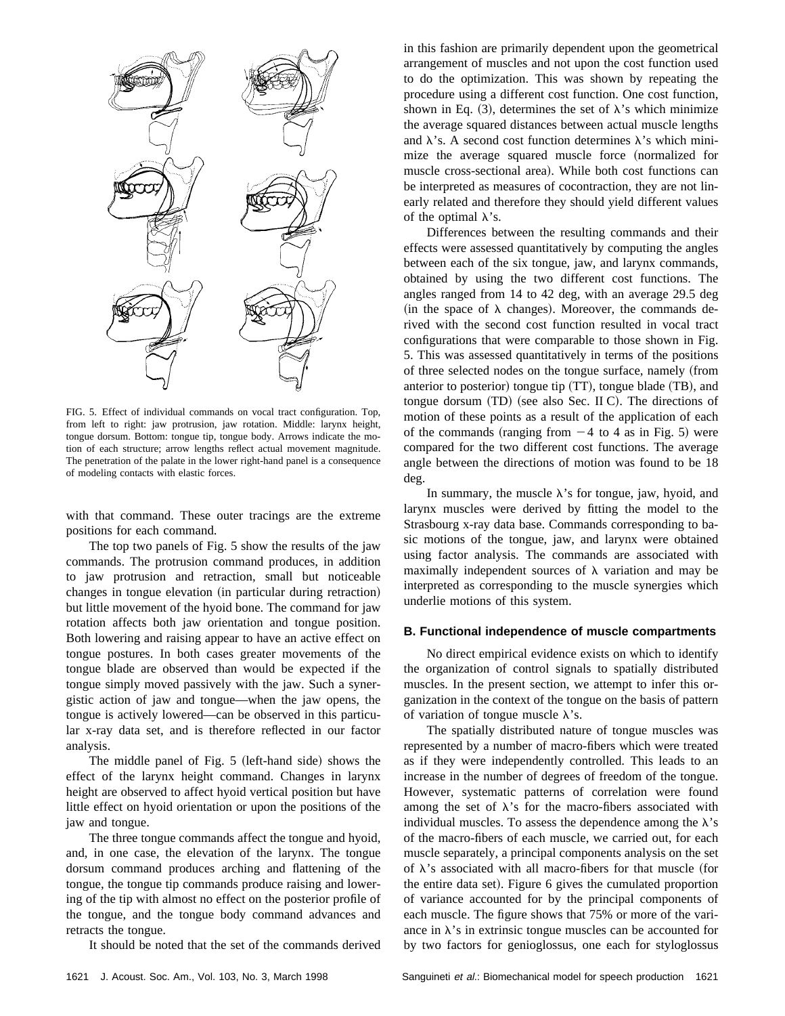

FIG. 5. Effect of individual commands on vocal tract configuration. Top, from left to right: jaw protrusion, jaw rotation. Middle: larynx height, tongue dorsum. Bottom: tongue tip, tongue body. Arrows indicate the motion of each structure; arrow lengths reflect actual movement magnitude. The penetration of the palate in the lower right-hand panel is a consequence of modeling contacts with elastic forces.

with that command. These outer tracings are the extreme positions for each command.

The top two panels of Fig. 5 show the results of the jaw commands. The protrusion command produces, in addition to jaw protrusion and retraction, small but noticeable changes in tongue elevation (in particular during retraction) but little movement of the hyoid bone. The command for jaw rotation affects both jaw orientation and tongue position. Both lowering and raising appear to have an active effect on tongue postures. In both cases greater movements of the tongue blade are observed than would be expected if the tongue simply moved passively with the jaw. Such a synergistic action of jaw and tongue—when the jaw opens, the tongue is actively lowered—can be observed in this particular x-ray data set, and is therefore reflected in our factor analysis.

The middle panel of Fig.  $5$  (left-hand side) shows the effect of the larynx height command. Changes in larynx height are observed to affect hyoid vertical position but have little effect on hyoid orientation or upon the positions of the jaw and tongue.

The three tongue commands affect the tongue and hyoid, and, in one case, the elevation of the larynx. The tongue dorsum command produces arching and flattening of the tongue, the tongue tip commands produce raising and lowering of the tip with almost no effect on the posterior profile of the tongue, and the tongue body command advances and retracts the tongue.

It should be noted that the set of the commands derived

in this fashion are primarily dependent upon the geometrical arrangement of muscles and not upon the cost function used to do the optimization. This was shown by repeating the procedure using a different cost function. One cost function, shown in Eq. (3), determines the set of  $\lambda$ 's which minimize the average squared distances between actual muscle lengths and  $\lambda$ 's. A second cost function determines  $\lambda$ 's which minimize the average squared muscle force (normalized for muscle cross-sectional area). While both cost functions can be interpreted as measures of cocontraction, they are not linearly related and therefore they should yield different values of the optimal  $\lambda$ 's.

Differences between the resulting commands and their effects were assessed quantitatively by computing the angles between each of the six tongue, jaw, and larynx commands, obtained by using the two different cost functions. The angles ranged from 14 to 42 deg, with an average 29.5 deg (in the space of  $\lambda$  changes). Moreover, the commands derived with the second cost function resulted in vocal tract configurations that were comparable to those shown in Fig. 5. This was assessed quantitatively in terms of the positions of three selected nodes on the tongue surface, namely (from anterior to posterior) tongue tip  $(TT)$ , tongue blade  $(TB)$ , and tongue dorsum  $(TD)$  (see also Sec. II C). The directions of motion of these points as a result of the application of each of the commands (ranging from  $-4$  to 4 as in Fig. 5) were compared for the two different cost functions. The average angle between the directions of motion was found to be 18 deg.

In summary, the muscle  $\lambda$ 's for tongue, jaw, hyoid, and larynx muscles were derived by fitting the model to the Strasbourg x-ray data base. Commands corresponding to basic motions of the tongue, jaw, and larynx were obtained using factor analysis. The commands are associated with maximally independent sources of  $\lambda$  variation and may be interpreted as corresponding to the muscle synergies which underlie motions of this system.

#### **B. Functional independence of muscle compartments**

No direct empirical evidence exists on which to identify the organization of control signals to spatially distributed muscles. In the present section, we attempt to infer this organization in the context of the tongue on the basis of pattern of variation of tongue muscle  $\lambda$ 's.

The spatially distributed nature of tongue muscles was represented by a number of macro-fibers which were treated as if they were independently controlled. This leads to an increase in the number of degrees of freedom of the tongue. However, systematic patterns of correlation were found among the set of  $\lambda$ 's for the macro-fibers associated with individual muscles. To assess the dependence among the  $\lambda$ 's of the macro-fibers of each muscle, we carried out, for each muscle separately, a principal components analysis on the set of  $\lambda$ 's associated with all macro-fibers for that muscle (for the entire data set). Figure 6 gives the cumulated proportion of variance accounted for by the principal components of each muscle. The figure shows that 75% or more of the variance in  $\lambda$ 's in extrinsic tongue muscles can be accounted for by two factors for genioglossus, one each for styloglossus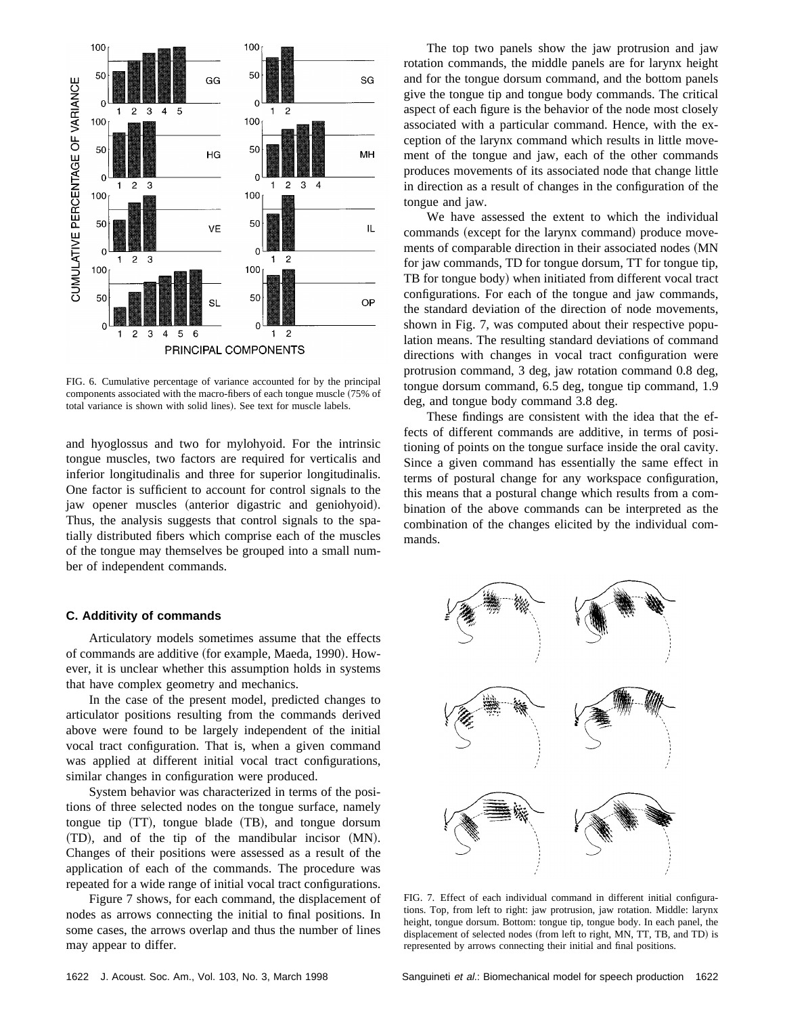

FIG. 6. Cumulative percentage of variance accounted for by the principal components associated with the macro-fibers of each tongue muscle (75% of total variance is shown with solid lines). See text for muscle labels.

and hyoglossus and two for mylohyoid. For the intrinsic tongue muscles, two factors are required for verticalis and inferior longitudinalis and three for superior longitudinalis. One factor is sufficient to account for control signals to the jaw opener muscles (anterior digastric and geniohyoid). Thus, the analysis suggests that control signals to the spatially distributed fibers which comprise each of the muscles of the tongue may themselves be grouped into a small number of independent commands.

## **C. Additivity of commands**

Articulatory models sometimes assume that the effects of commands are additive (for example, Maeda, 1990). However, it is unclear whether this assumption holds in systems that have complex geometry and mechanics.

In the case of the present model, predicted changes to articulator positions resulting from the commands derived above were found to be largely independent of the initial vocal tract configuration. That is, when a given command was applied at different initial vocal tract configurations, similar changes in configuration were produced.

System behavior was characterized in terms of the positions of three selected nodes on the tongue surface, namely tongue tip  $(TT)$ , tongue blade  $(TB)$ , and tongue dorsum (TD), and of the tip of the mandibular incisor (MN). Changes of their positions were assessed as a result of the application of each of the commands. The procedure was repeated for a wide range of initial vocal tract configurations.

Figure 7 shows, for each command, the displacement of nodes as arrows connecting the initial to final positions. In some cases, the arrows overlap and thus the number of lines may appear to differ.

The top two panels show the jaw protrusion and jaw rotation commands, the middle panels are for larynx height and for the tongue dorsum command, and the bottom panels give the tongue tip and tongue body commands. The critical aspect of each figure is the behavior of the node most closely associated with a particular command. Hence, with the exception of the larynx command which results in little movement of the tongue and jaw, each of the other commands produces movements of its associated node that change little in direction as a result of changes in the configuration of the tongue and jaw.

We have assessed the extent to which the individual commands (except for the larynx command) produce movements of comparable direction in their associated nodes (MN for jaw commands, TD for tongue dorsum, TT for tongue tip, TB for tongue body) when initiated from different vocal tract configurations. For each of the tongue and jaw commands, the standard deviation of the direction of node movements, shown in Fig. 7, was computed about their respective population means. The resulting standard deviations of command directions with changes in vocal tract configuration were protrusion command, 3 deg, jaw rotation command 0.8 deg, tongue dorsum command, 6.5 deg, tongue tip command, 1.9 deg, and tongue body command 3.8 deg.

These findings are consistent with the idea that the effects of different commands are additive, in terms of positioning of points on the tongue surface inside the oral cavity. Since a given command has essentially the same effect in terms of postural change for any workspace configuration, this means that a postural change which results from a combination of the above commands can be interpreted as the combination of the changes elicited by the individual commands.



FIG. 7. Effect of each individual command in different initial configurations. Top, from left to right: jaw protrusion, jaw rotation. Middle: larynx height, tongue dorsum. Bottom: tongue tip, tongue body. In each panel, the displacement of selected nodes (from left to right, MN, TT, TB, and TD) is represented by arrows connecting their initial and final positions.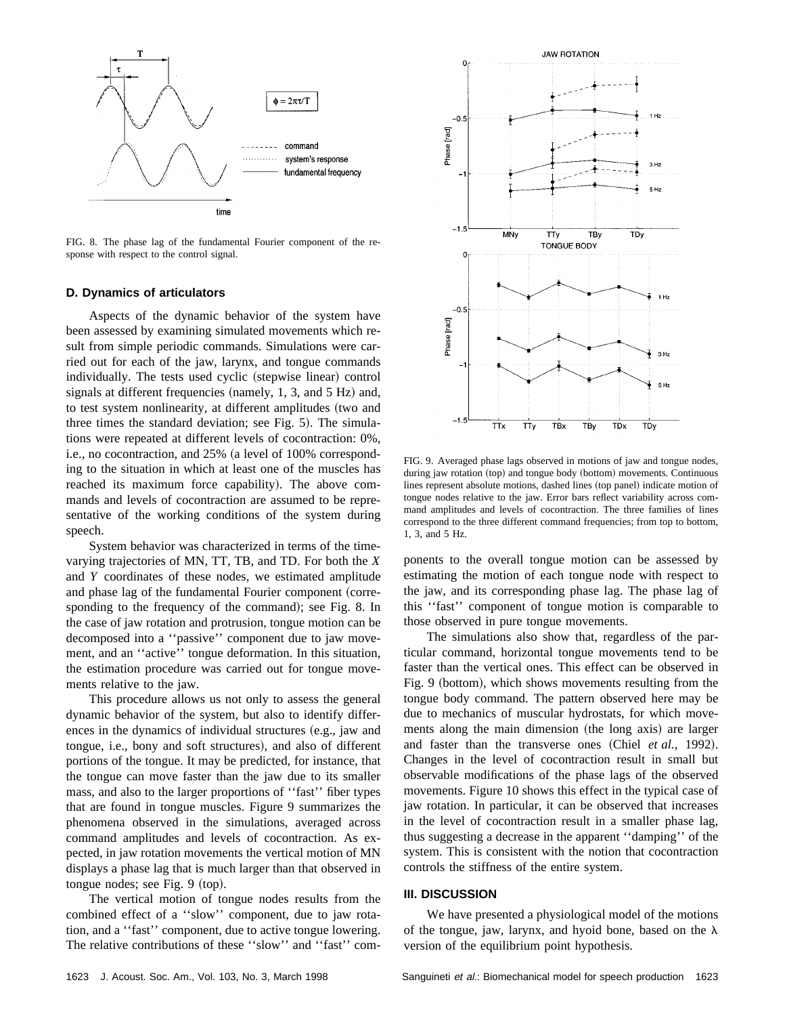

FIG. 8. The phase lag of the fundamental Fourier component of the response with respect to the control signal.

## **D. Dynamics of articulators**

Aspects of the dynamic behavior of the system have been assessed by examining simulated movements which result from simple periodic commands. Simulations were carried out for each of the jaw, larynx, and tongue commands individually. The tests used cyclic (stepwise linear) control signals at different frequencies (namely,  $1, 3$ , and  $5$  Hz) and, to test system nonlinearity, at different amplitudes (two and three times the standard deviation; see Fig.  $5$ ). The simulations were repeated at different levels of cocontraction: 0%, i.e., no cocontraction, and 25% (a level of 100% corresponding to the situation in which at least one of the muscles has reached its maximum force capability). The above commands and levels of cocontraction are assumed to be representative of the working conditions of the system during speech.

System behavior was characterized in terms of the timevarying trajectories of MN, TT, TB, and TD. For both the *X* and *Y* coordinates of these nodes, we estimated amplitude and phase lag of the fundamental Fourier component (corresponding to the frequency of the command); see Fig. 8. In the case of jaw rotation and protrusion, tongue motion can be decomposed into a ''passive'' component due to jaw movement, and an ''active'' tongue deformation. In this situation, the estimation procedure was carried out for tongue movements relative to the jaw.

This procedure allows us not only to assess the general dynamic behavior of the system, but also to identify differences in the dynamics of individual structures (e.g., jaw and tongue, i.e., bony and soft structures), and also of different portions of the tongue. It may be predicted, for instance, that the tongue can move faster than the jaw due to its smaller mass, and also to the larger proportions of ''fast'' fiber types that are found in tongue muscles. Figure 9 summarizes the phenomena observed in the simulations, averaged across command amplitudes and levels of cocontraction. As expected, in jaw rotation movements the vertical motion of MN displays a phase lag that is much larger than that observed in tongue nodes; see Fig.  $9 ~ (top)$ .

The vertical motion of tongue nodes results from the combined effect of a ''slow'' component, due to jaw rotation, and a ''fast'' component, due to active tongue lowering. The relative contributions of these ''slow'' and ''fast'' com-



FIG. 9. Averaged phase lags observed in motions of jaw and tongue nodes, during jaw rotation (top) and tongue body (bottom) movements. Continuous lines represent absolute motions, dashed lines (top panel) indicate motion of tongue nodes relative to the jaw. Error bars reflect variability across command amplitudes and levels of cocontraction. The three families of lines correspond to the three different command frequencies; from top to bottom, 1, 3, and 5 Hz.

ponents to the overall tongue motion can be assessed by estimating the motion of each tongue node with respect to the jaw, and its corresponding phase lag. The phase lag of this ''fast'' component of tongue motion is comparable to those observed in pure tongue movements.

The simulations also show that, regardless of the particular command, horizontal tongue movements tend to be faster than the vertical ones. This effect can be observed in Fig. 9 (bottom), which shows movements resulting from the tongue body command. The pattern observed here may be due to mechanics of muscular hydrostats, for which movements along the main dimension (the long axis) are larger and faster than the transverse ones (Chiel *et al.*, 1992). Changes in the level of cocontraction result in small but observable modifications of the phase lags of the observed movements. Figure 10 shows this effect in the typical case of jaw rotation. In particular, it can be observed that increases in the level of cocontraction result in a smaller phase lag, thus suggesting a decrease in the apparent ''damping'' of the system. This is consistent with the notion that cocontraction controls the stiffness of the entire system.

# **III. DISCUSSION**

We have presented a physiological model of the motions of the tongue, jaw, larynx, and hyoid bone, based on the  $\lambda$ version of the equilibrium point hypothesis.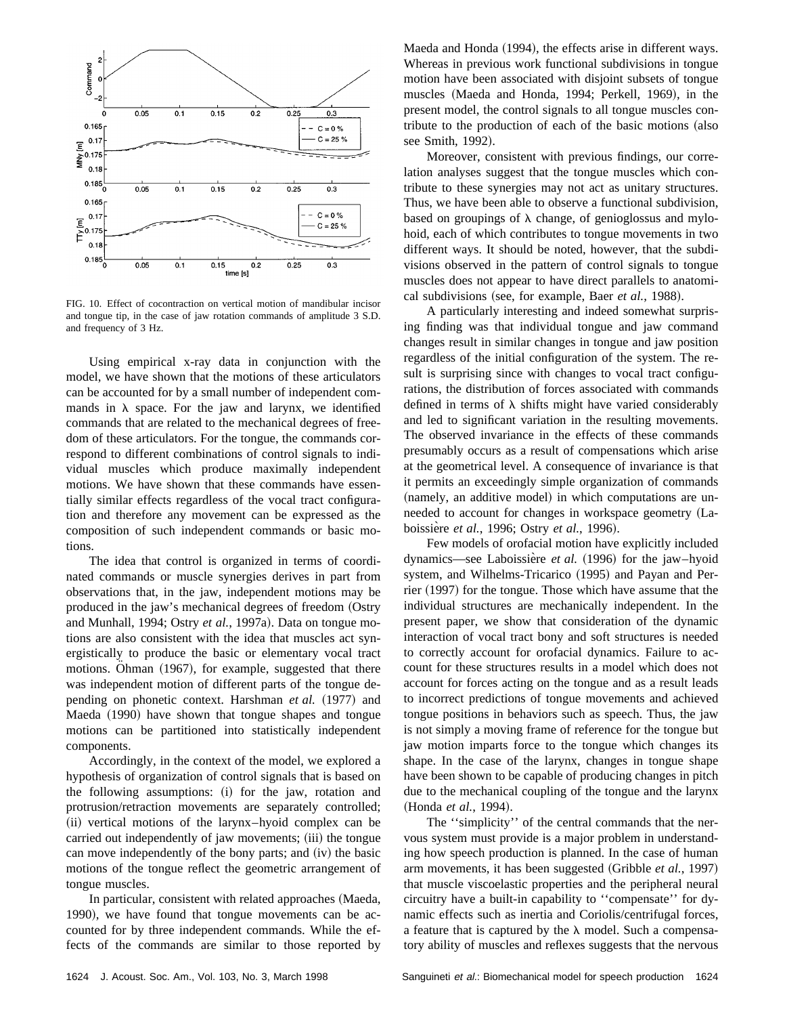

FIG. 10. Effect of cocontraction on vertical motion of mandibular incisor and tongue tip, in the case of jaw rotation commands of amplitude 3 S.D. and frequency of 3 Hz.

Using empirical x-ray data in conjunction with the model, we have shown that the motions of these articulators can be accounted for by a small number of independent commands in  $\lambda$  space. For the jaw and larynx, we identified commands that are related to the mechanical degrees of freedom of these articulators. For the tongue, the commands correspond to different combinations of control signals to individual muscles which produce maximally independent motions. We have shown that these commands have essentially similar effects regardless of the vocal tract configuration and therefore any movement can be expressed as the composition of such independent commands or basic motions.

The idea that control is organized in terms of coordinated commands or muscle synergies derives in part from observations that, in the jaw, independent motions may be produced in the jaw's mechanical degrees of freedom (Ostry and Munhall, 1994; Ostry *et al.*, 1997a). Data on tongue motions are also consistent with the idea that muscles act synergistically to produce the basic or elementary vocal tract motions. Ohman (1967), for example, suggested that there was independent motion of different parts of the tongue depending on phonetic context. Harshman *et al.* (1977) and Maeda (1990) have shown that tongue shapes and tongue motions can be partitioned into statistically independent components.

Accordingly, in the context of the model, we explored a hypothesis of organization of control signals that is based on the following assumptions: (i) for the jaw, rotation and protrusion/retraction movements are separately controlled; (ii) vertical motions of the larynx–hyoid complex can be carried out independently of jaw movements; (iii) the tongue can move independently of the bony parts; and (iv) the basic motions of the tongue reflect the geometric arrangement of tongue muscles.

In particular, consistent with related approaches (Maeda, 1990), we have found that tongue movements can be accounted for by three independent commands. While the effects of the commands are similar to those reported by Maeda and Honda (1994), the effects arise in different ways. Whereas in previous work functional subdivisions in tongue motion have been associated with disjoint subsets of tongue muscles (Maeda and Honda, 1994; Perkell, 1969), in the present model, the control signals to all tongue muscles contribute to the production of each of the basic motions (also see Smith, 1992).

Moreover, consistent with previous findings, our correlation analyses suggest that the tongue muscles which contribute to these synergies may not act as unitary structures. Thus, we have been able to observe a functional subdivision, based on groupings of  $\lambda$  change, of genioglossus and mylohoid, each of which contributes to tongue movements in two different ways. It should be noted, however, that the subdivisions observed in the pattern of control signals to tongue muscles does not appear to have direct parallels to anatomical subdivisions (see, for example, Baer *et al.*, 1988).

A particularly interesting and indeed somewhat surprising finding was that individual tongue and jaw command changes result in similar changes in tongue and jaw position regardless of the initial configuration of the system. The result is surprising since with changes to vocal tract configurations, the distribution of forces associated with commands defined in terms of  $\lambda$  shifts might have varied considerably and led to significant variation in the resulting movements. The observed invariance in the effects of these commands presumably occurs as a result of compensations which arise at the geometrical level. A consequence of invariance is that it permits an exceedingly simple organization of commands (namely, an additive model) in which computations are unneeded to account for changes in workspace geometry (Laboissière *et al.*, 1996; Ostry *et al.*, 1996).

Few models of orofacial motion have explicitly included dynamics—see Laboissière *et al.* (1996) for the jaw–hyoid system, and Wilhelms-Tricarico (1995) and Payan and Perrier  $(1997)$  for the tongue. Those which have assume that the individual structures are mechanically independent. In the present paper, we show that consideration of the dynamic interaction of vocal tract bony and soft structures is needed to correctly account for orofacial dynamics. Failure to account for these structures results in a model which does not account for forces acting on the tongue and as a result leads to incorrect predictions of tongue movements and achieved tongue positions in behaviors such as speech. Thus, the jaw is not simply a moving frame of reference for the tongue but jaw motion imparts force to the tongue which changes its shape. In the case of the larynx, changes in tongue shape have been shown to be capable of producing changes in pitch due to the mechanical coupling of the tongue and the larynx (Honda *et al.*, 1994).

The ''simplicity'' of the central commands that the nervous system must provide is a major problem in understanding how speech production is planned. In the case of human arm movements, it has been suggested (Gribble *et al.*, 1997) that muscle viscoelastic properties and the peripheral neural circuitry have a built-in capability to ''compensate'' for dynamic effects such as inertia and Coriolis/centrifugal forces, a feature that is captured by the  $\lambda$  model. Such a compensatory ability of muscles and reflexes suggests that the nervous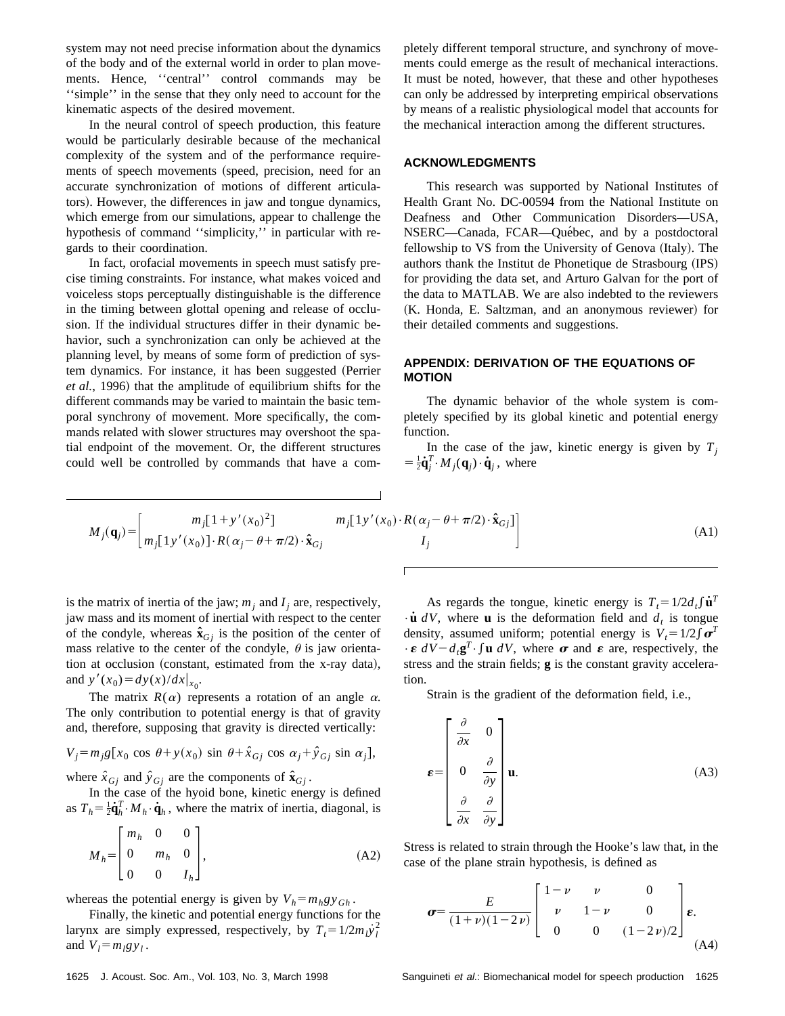system may not need precise information about the dynamics of the body and of the external world in order to plan movements. Hence, ''central'' control commands may be ''simple'' in the sense that they only need to account for the kinematic aspects of the desired movement.

In the neural control of speech production, this feature would be particularly desirable because of the mechanical complexity of the system and of the performance requirements of speech movements (speed, precision, need for an accurate synchronization of motions of different articulators). However, the differences in jaw and tongue dynamics, which emerge from our simulations, appear to challenge the hypothesis of command "simplicity," in particular with regards to their coordination.

In fact, orofacial movements in speech must satisfy precise timing constraints. For instance, what makes voiced and voiceless stops perceptually distinguishable is the difference in the timing between glottal opening and release of occlusion. If the individual structures differ in their dynamic behavior, such a synchronization can only be achieved at the planning level, by means of some form of prediction of system dynamics. For instance, it has been suggested (Perrier *et al.*, 1996) that the amplitude of equilibrium shifts for the different commands may be varied to maintain the basic temporal synchrony of movement. More specifically, the commands related with slower structures may overshoot the spatial endpoint of the movement. Or, the different structures could well be controlled by commands that have a completely different temporal structure, and synchrony of movements could emerge as the result of mechanical interactions. It must be noted, however, that these and other hypotheses can only be addressed by interpreting empirical observations by means of a realistic physiological model that accounts for the mechanical interaction among the different structures.

### **ACKNOWLEDGMENTS**

This research was supported by National Institutes of Health Grant No. DC-00594 from the National Institute on Deafness and Other Communication Disorders—USA, NSERC—Canada, FCAR—Québec, and by a postdoctoral fellowship to VS from the University of Genova (Italy). The authors thank the Institut de Phonetique de Strasbourg (IPS) for providing the data set, and Arturo Galvan for the port of the data to MATLAB. We are also indebted to the reviewers (K. Honda, E. Saltzman, and an anonymous reviewer) for their detailed comments and suggestions.

# **APPENDIX: DERIVATION OF THE EQUATIONS OF MOTION**

The dynamic behavior of the whole system is completely specified by its global kinetic and potential energy function.

In the case of the jaw, kinetic energy is given by  $T_i$  $= \frac{1}{2}\dot{\mathbf{q}}_j^T \cdot M_j(\mathbf{q}_j) \cdot \dot{\mathbf{q}}_j$ , where

$$
M_j(\mathbf{q}_j) = \begin{bmatrix} m_j[1 + y'(x_0)^2] & m_j[1y'(x_0) \cdot R(\alpha_j - \theta + \pi/2) \cdot \hat{\mathbf{x}}_{Gj}] \\ m_j[1y'(x_0)] \cdot R(\alpha_j - \theta + \pi/2) \cdot \hat{\mathbf{x}}_{Gj} & I_j \end{bmatrix}
$$
(A1)

is the matrix of inertia of the jaw;  $m_i$  and  $I_i$  are, respectively, jaw mass and its moment of inertial with respect to the center of the condyle, whereas  $\hat{\mathbf{x}}_{Gj}$  is the position of the center of mass relative to the center of the condyle,  $\theta$  is jaw orientation at occlusion (constant, estimated from the x-ray data), and  $y'(x_0) = dy(x)/dx|_{x_0}$ .

The matrix  $R(\alpha)$  represents a rotation of an angle  $\alpha$ . The only contribution to potential energy is that of gravity and, therefore, supposing that gravity is directed vertically:

$$
V_j = m_j g[x_0 \cos \theta + y(x_0) \sin \theta + \hat{x}_{Gj} \cos \alpha_j + \hat{y}_{Gj} \sin \alpha_j],
$$

where  $\hat{x}_{Gi}$  and  $\hat{y}_{Gi}$  are the components of  $\hat{\mathbf{x}}_{Gi}$ .

In the case of the hyoid bone, kinetic energy is defined as  $T_h = \frac{1}{2} \dot{\mathbf{q}}_h^T \cdot M_h \cdot \dot{\mathbf{q}}_h$ , where the matrix of inertia, diagonal, is

$$
M_{h} = \begin{bmatrix} m_{h} & 0 & 0 \\ 0 & m_{h} & 0 \\ 0 & 0 & I_{h} \end{bmatrix},
$$
 (A2)

whereas the potential energy is given by  $V_h = m_h g y_{Gh}$ .

Finally, the kinetic and potential energy functions for the larynx are simply expressed, respectively, by  $T_t = 1/2m_l \dot{y}_l^2$ and  $V_l = m_l g y_l$ .

As regards the tongue, kinetic energy is  $T_t = 1/2d_t \int \dot{u}^T$  $\cdot$ **u**<sup>*dV*</sup>, where **u** is the deformation field and  $d_t$  is tongue density, assumed uniform; potential energy is  $V_t = 1/2 \int \sigma^T$  $\cdot \mathbf{\varepsilon} dV - d_t \mathbf{g}^T \cdot \int \mathbf{u} dV$ , where  $\sigma$  and  $\epsilon$  are, respectively, the stress and the strain fields; **g** is the constant gravity acceleration.

Strain is the gradient of the deformation field, i.e.,

$$
\mathbf{\varepsilon} = \begin{bmatrix} \frac{\partial}{\partial x} & 0 \\ 0 & \frac{\partial}{\partial y} \\ \frac{\partial}{\partial x} & \frac{\partial}{\partial y} \end{bmatrix} \mathbf{u}.
$$
 (A3)

Stress is related to strain through the Hooke's law that, in the case of the plane strain hypothesis, is defined as

$$
\sigma = \frac{E}{(1+\nu)(1-2\nu)} \begin{bmatrix} 1-\nu & \nu & 0 \\ \nu & 1-\nu & 0 \\ 0 & 0 & (1-2\nu)/2 \end{bmatrix} \varepsilon.
$$
 (A4)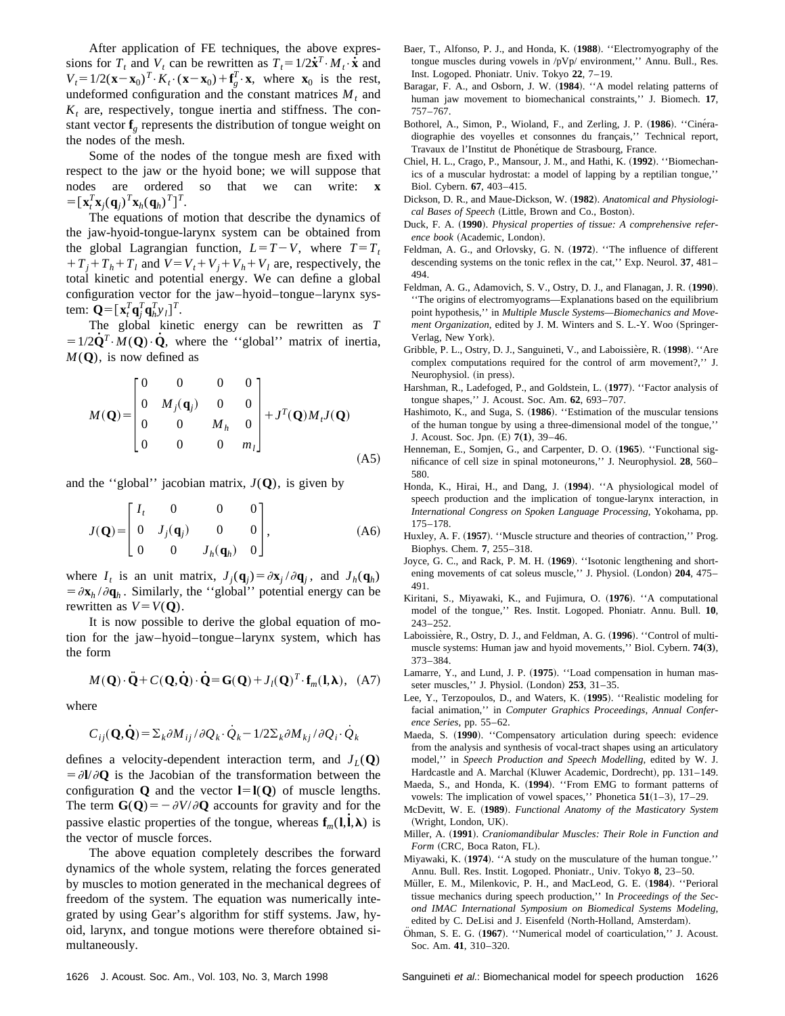After application of FE techniques, the above expressions for  $T_t$  and  $V_t$  can be rewritten as  $T_t = 1/2\dot{x}^T \cdot M_t \cdot \dot{x}$  and  $V_t = 1/2(\mathbf{x} - \mathbf{x}_0)^T \cdot K_t \cdot (\mathbf{x} - \mathbf{x}_0) + \mathbf{f}_g^T \cdot \mathbf{x}$ , where  $\mathbf{x}_0$  is the rest, undeformed configuration and the constant matrices  $M_t$  and  $K_t$  are, respectively, tongue inertia and stiffness. The constant vector  $f$ <sup> $g$ </sup> represents the distribution of tongue weight on the nodes of the mesh.

Some of the nodes of the tongue mesh are fixed with respect to the jaw or the hyoid bone; we will suppose that nodes are ordered so that we can write: **x**  $=[\mathbf{x}_t^T \mathbf{x}_j(\mathbf{q}_j)^T \mathbf{x}_h(\mathbf{q}_h)^T]^T.$ 

The equations of motion that describe the dynamics of the jaw-hyoid-tongue-larynx system can be obtained from the global Lagrangian function,  $L=T-V$ , where  $T=T_t$  $+T_i+T_h+T_l$  and  $V=V_t+V_i+V_h+V_l$  are, respectively, the total kinetic and potential energy. We can define a global configuration vector for the jaw–hyoid–tongue–larynx system:  $\mathbf{Q} = [\mathbf{x}_t^T \mathbf{q}_j^T \mathbf{q}_h^T \mathbf{y}_l]^T$ .

The global kinetic energy can be rewritten as *T*  $=1/2\mathbf{Q}^T \cdot M(\mathbf{Q}) \cdot \mathbf{Q}$ , where the "global" matrix of inertia,  $M(Q)$ , is now defined as

$$
M(\mathbf{Q}) = \begin{bmatrix} 0 & 0 & 0 & 0 \\ 0 & M_j(\mathbf{q}_j) & 0 & 0 \\ 0 & 0 & M_h & 0 \\ 0 & 0 & 0 & m_l \end{bmatrix} + J^T(\mathbf{Q}) M_r J(\mathbf{Q})
$$
(A5)

and the "global" jacobian matrix,  $J(Q)$ , is given by

$$
J(\mathbf{Q}) = \begin{bmatrix} I_t & 0 & 0 & 0 \\ 0 & J_j(\mathbf{q}_j) & 0 & 0 \\ 0 & 0 & J_h(\mathbf{q}_h) & 0 \end{bmatrix},
$$
 (A6)

where  $I_t$  is an unit matrix,  $J_i(\mathbf{q}_i) = \partial \mathbf{x}_i / \partial \mathbf{q}_i$ , and  $J_h(\mathbf{q}_h)$  $= \frac{\partial \mathbf{x}_h}{\partial \mathbf{q}_h}$ . Similarly, the "global" potential energy can be rewritten as  $V = V(Q)$ .

It is now possible to derive the global equation of motion for the jaw–hyoid–tongue–larynx system, which has the form

$$
M(\mathbf{Q}) \cdot \ddot{\mathbf{Q}} + C(\mathbf{Q}, \dot{\mathbf{Q}}) \cdot \dot{\mathbf{Q}} = \mathbf{G}(\mathbf{Q}) + J_l(\mathbf{Q})^T \cdot \mathbf{f}_m(\mathbf{l}, \lambda), \quad (A7)
$$

where

$$
C_{ij}(\mathbf{Q},\dot{\mathbf{Q}}) = \sum_{k} \partial M_{ij} / \partial Q_k \cdot \dot{Q}_k - 1/2 \sum_{k} \partial M_{kj} / \partial Q_i \cdot \dot{Q}_k
$$

defines a velocity-dependent interaction term, and  $J_L(Q)$  $= \partial V/\partial Q$  is the Jacobian of the transformation between the configuration **Q** and the vector  $\mathbf{l} = \mathbf{l}(\mathbf{Q})$  of muscle lengths. The term  $\mathbf{G}(\mathbf{Q}) = -\partial V/\partial \mathbf{Q}$  accounts for gravity and for the passive elastic properties of the tongue, whereas  $f_m(l, \dot{l}, \lambda)$  is the vector of muscle forces.

The above equation completely describes the forward dynamics of the whole system, relating the forces generated by muscles to motion generated in the mechanical degrees of freedom of the system. The equation was numerically integrated by using Gear's algorithm for stiff systems. Jaw, hyoid, larynx, and tongue motions were therefore obtained simultaneously.

- Baer, T., Alfonso, P. J., and Honda, K. (1988). "Electromyography of the tongue muscles during vowels in /pVp/ environment,'' Annu. Bull., Res. Inst. Logoped. Phoniatr. Univ. Tokyo **22**, 7–19.
- Baragar, F. A., and Osborn, J. W. (1984). "A model relating patterns of human jaw movement to biomechanical constraints,'' J. Biomech. **17**, 757–767.
- Bothorel, A., Simon, P., Wioland, F., and Zerling, J. P. (1986). "Cinéradiographie des voyelles et consonnes du français," Technical report, Travaux de l'Institut de Phonétique de Strasbourg, France.
- Chiel, H. L., Crago, P., Mansour, J. M., and Hathi, K. ~**1992**!. ''Biomechanics of a muscular hydrostat: a model of lapping by a reptilian tongue,'' Biol. Cybern. **67**, 403–415.
- Dickson, D. R., and Maue-Dickson, W. ~**1982**!. *Anatomical and Physiological Bases of Speech* (Little, Brown and Co., Boston).
- Duck, F. A. ~**1990**!. *Physical properties of tissue: A comprehensive refer* $ence$  book (Academic, London).
- Feldman, A. G., and Orlovsky, G. N. (1972). "The influence of different descending systems on the tonic reflex in the cat,'' Exp. Neurol. **37**, 481– 494.
- Feldman, A. G., Adamovich, S. V., Ostry, D. J., and Flanagan, J. R. ~**1990**!. ''The origins of electromyograms—Explanations based on the equilibrium point hypothesis,'' in *Multiple Muscle Systems—Biomechanics and Movement Organization*, edited by J. M. Winters and S. L.-Y. Woo (Springer-Verlag, New York).
- Gribble, P. L., Ostry, D. J., Sanguineti, V., and Laboissiere, R. (1998). "Are complex computations required for the control of arm movement?,'' J. Neurophysiol. (in press).
- Harshman, R., Ladefoged, P., and Goldstein, L. (1977). "Factor analysis of tongue shapes,'' J. Acoust. Soc. Am. **62**, 693–707.
- Hashimoto, K., and Suga, S. (1986). "Estimation of the muscular tensions of the human tongue by using a three-dimensional model of the tongue,'' J. Acoust. Soc. Jpn. (E)  $7(1)$ , 39-46.
- Henneman, E., Somjen, G., and Carpenter, D. O. (1965). "Functional significance of cell size in spinal motoneurons,'' J. Neurophysiol. **28**, 560– 580.
- Honda, K., Hirai, H., and Dang, J. (1994). "A physiological model of speech production and the implication of tongue-larynx interaction, in *International Congress on Spoken Language Processing*, Yokohama, pp. 175–178.
- Huxley, A. F. (1957). "Muscle structure and theories of contraction," Prog. Biophys. Chem. **7**, 255–318.
- Joyce, G. C., and Rack, P. M. H.  $(1969)$ . "Isotonic lengthening and shortening movements of cat soleus muscle," J. Physiol. (London) 204, 475– 491.
- Kiritani, S., Miyawaki, K., and Fujimura, O. (1976). "A computational model of the tongue,'' Res. Instit. Logoped. Phoniatr. Annu. Bull. **10**, 243–252.
- Laboissière, R., Ostry, D. J., and Feldman, A. G. (1996). "Control of multimuscle systems: Human jaw and hyoid movements," Biol. Cybern. 74(3), 373–384.
- Lamarre, Y., and Lund, J. P. (1975). "Load compensation in human masseter muscles," J. Physiol. (London) 253, 31–35.
- Lee, Y., Terzopoulos, D., and Waters, K. (1995). "Realistic modeling for facial animation,'' in *Computer Graphics Proceedings, Annual Conference Series*, pp. 55–62.
- Maeda, S. (1990). "Compensatory articulation during speech: evidence from the analysis and synthesis of vocal-tract shapes using an articulatory model,'' in *Speech Production and Speech Modelling*, edited by W. J. Hardcastle and A. Marchal (Kluwer Academic, Dordrecht), pp. 131–149.
- Maeda, S., and Honda, K. (1994). "From EMG to formant patterns of vowels: The implication of vowel spaces," Phonetica  $51(1-3)$ , 17–29.
- McDevitt, W. E. ~**1989**!. *Functional Anatomy of the Masticatory System* (Wright, London, UK).
- Miller, A. ~**1991**!. *Craniomandibular Muscles: Their Role in Function and Form* (CRC, Boca Raton, FL).
- Miyawaki, K. (1974). "A study on the musculature of the human tongue." Annu. Bull. Res. Instit. Logoped. Phoniatr., Univ. Tokyo **8**, 23–50.
- Müller, E. M., Milenkovic, P. H., and MacLeod, G. E. (1984). "Perioral tissue mechanics during speech production,'' In *Proceedings of the Second IMAC International Symposium on Biomedical Systems Modeling*, edited by C. DeLisi and J. Eisenfeld (North-Holland, Amsterdam).
- Ohman, S. E. G. (1967). "Numerical model of coarticulation," J. Acoust. Soc. Am. **41**, 310–320.